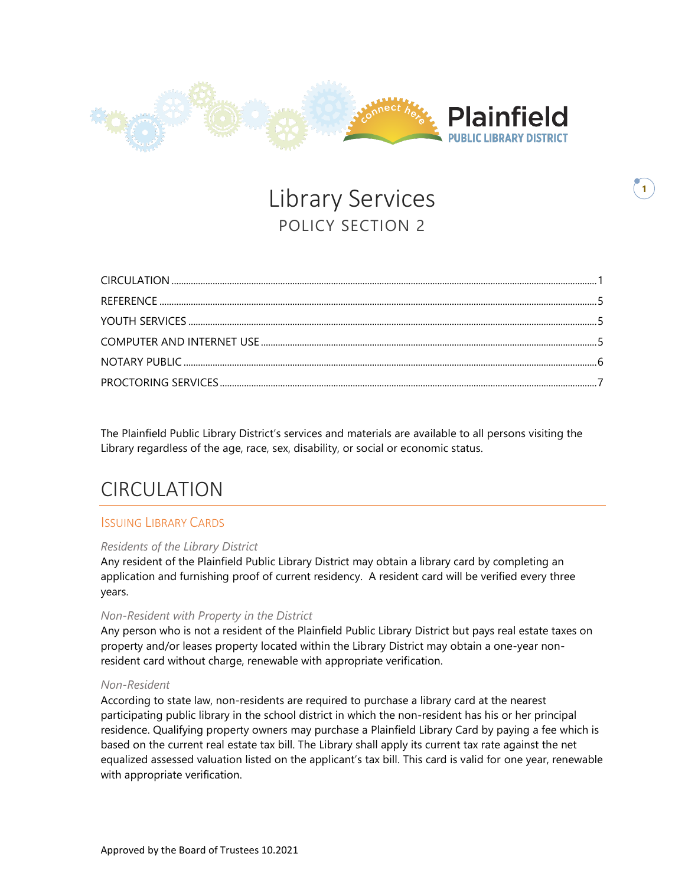

# Library Services POLICY SECTION 2

**1**

The Plainfield Public Library District's services and materials are available to all persons visiting the Library regardless of the age, race, sex, disability, or social or economic status.

## <span id="page-0-0"></span>CIRCULATION

## ISSUING LIBRARY CARDS

### *Residents of the Library District*

Any resident of the Plainfield Public Library District may obtain a library card by completing an application and furnishing proof of current residency. A resident card will be verified every three years.

#### *Non-Resident with Property in the District*

Any person who is not a resident of the Plainfield Public Library District but pays real estate taxes on property and/or leases property located within the Library District may obtain a one-year nonresident card without charge, renewable with appropriate verification.

#### *Non-Resident*

According to state law, non-residents are required to purchase a library card at the nearest participating public library in the school district in which the non-resident has his or her principal residence. Qualifying property owners may purchase a Plainfield Library Card by paying a fee which is based on the current real estate tax bill. The Library shall apply its current tax rate against the net equalized assessed valuation listed on the applicant's tax bill. This card is valid for one year, renewable with appropriate verification.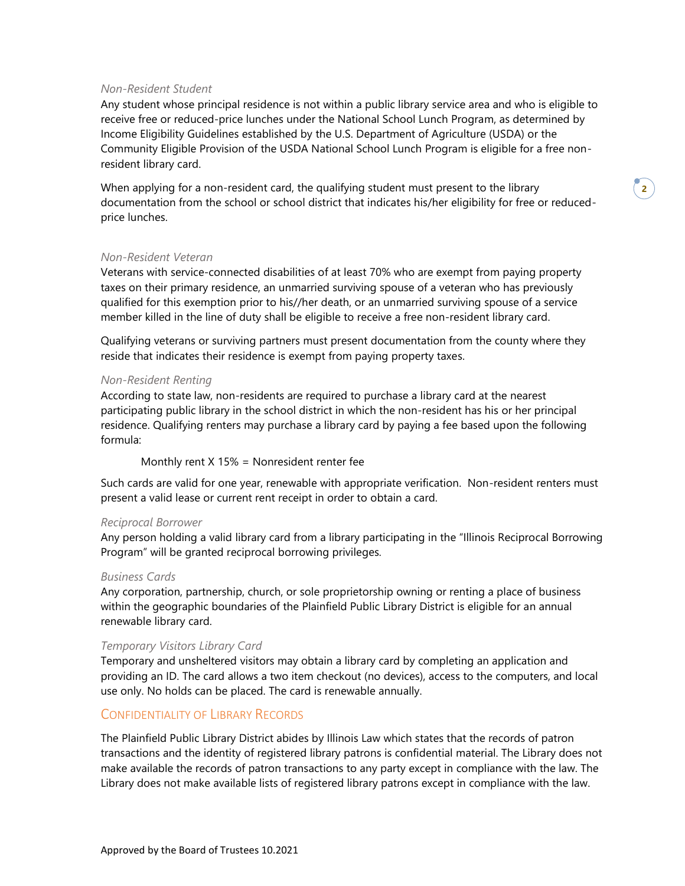#### *Non-Resident Student*

Any student whose principal residence is not within a public library service area and who is eligible to receive free or reduced-price lunches under the National School Lunch Program, as determined by Income Eligibility Guidelines established by the U.S. Department of Agriculture (USDA) or the Community Eligible Provision of the USDA National School Lunch Program is eligible for a free nonresident library card.

When applying for a non-resident card, the qualifying student must present to the library documentation from the school or school district that indicates his/her eligibility for free or reducedprice lunches.

#### *Non-Resident Veteran*

Veterans with service-connected disabilities of at least 70% who are exempt from paying property taxes on their primary residence, an unmarried surviving spouse of a veteran who has previously qualified for this exemption prior to his//her death, or an unmarried surviving spouse of a service member killed in the line of duty shall be eligible to receive a free non-resident library card.

Qualifying veterans or surviving partners must present documentation from the county where they reside that indicates their residence is exempt from paying property taxes.

#### *Non-Resident Renting*

According to state law, non-residents are required to purchase a library card at the nearest participating public library in the school district in which the non-resident has his or her principal residence. Qualifying renters may purchase a library card by paying a fee based upon the following formula:

Monthly rent X 15% = Nonresident renter fee

Such cards are valid for one year, renewable with appropriate verification. Non-resident renters must present a valid lease or current rent receipt in order to obtain a card.

#### *Reciprocal Borrower*

Any person holding a valid library card from a library participating in the "Illinois Reciprocal Borrowing Program" will be granted reciprocal borrowing privileges*.* 

#### *Business Cards*

Any corporation, partnership, church, or sole proprietorship owning or renting a place of business within the geographic boundaries of the Plainfield Public Library District is eligible for an annual renewable library card.

#### *Temporary Visitors Library Card*

Temporary and unsheltered visitors may obtain a library card by completing an application and providing an ID. The card allows a two item checkout (no devices), access to the computers, and local use only. No holds can be placed. The card is renewable annually.

### CONFIDENTIALITY OF LIBRARY RECORDS

The Plainfield Public Library District abides by Illinois Law which states that the records of patron transactions and the identity of registered library patrons is confidential material. The Library does not make available the records of patron transactions to any party except in compliance with the law. The Library does not make available lists of registered library patrons except in compliance with the law.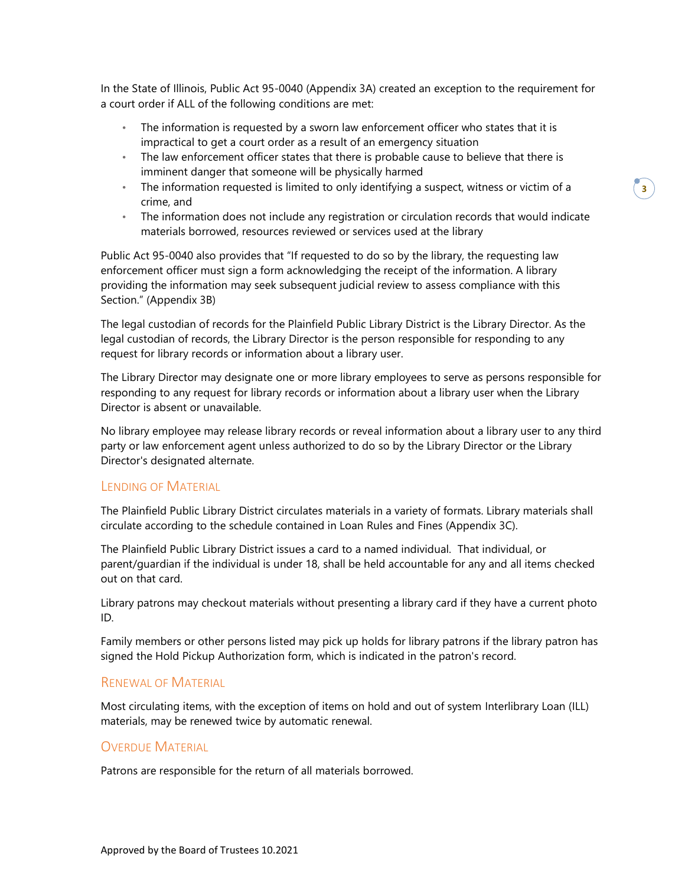In the State of Illinois, Public Act 95-0040 (Appendix 3A) created an exception to the requirement for a court order if ALL of the following conditions are met:

- The information is requested by a sworn law enforcement officer who states that it is impractical to get a court order as a result of an emergency situation
- The law enforcement officer states that there is probable cause to believe that there is imminent danger that someone will be physically harmed
- The information requested is limited to only identifying a suspect, witness or victim of a crime, and
- The information does not include any registration or circulation records that would indicate materials borrowed, resources reviewed or services used at the library

Public Act 95-0040 also provides that "If requested to do so by the library, the requesting law enforcement officer must sign a form acknowledging the receipt of the information. A library providing the information may seek subsequent judicial review to assess compliance with this Section." (Appendix 3B)

The legal custodian of records for the Plainfield Public Library District is the Library Director. As the legal custodian of records, the Library Director is the person responsible for responding to any request for library records or information about a library user.

The Library Director may designate one or more library employees to serve as persons responsible for responding to any request for library records or information about a library user when the Library Director is absent or unavailable.

No library employee may release library records or reveal information about a library user to any third party or law enforcement agent unless authorized to do so by the Library Director or the Library Director's designated alternate.

### LENDING OF MATERIAL

The Plainfield Public Library District circulates materials in a variety of formats. Library materials shall circulate according to the schedule contained in Loan Rules and Fines (Appendix 3C).

The Plainfield Public Library District issues a card to a named individual. That individual, or parent/guardian if the individual is under 18, shall be held accountable for any and all items checked out on that card.

Library patrons may checkout materials without presenting a library card if they have a current photo ID.

Family members or other persons listed may pick up holds for library patrons if the library patron has signed the Hold Pickup Authorization form, which is indicated in the patron's record.

#### RENEWAL OF MATERIAL

Most circulating items, with the exception of items on hold and out of system Interlibrary Loan (ILL) materials, may be renewed twice by automatic renewal.

### OVERDUE MATERIAL

Patrons are responsible for the return of all materials borrowed.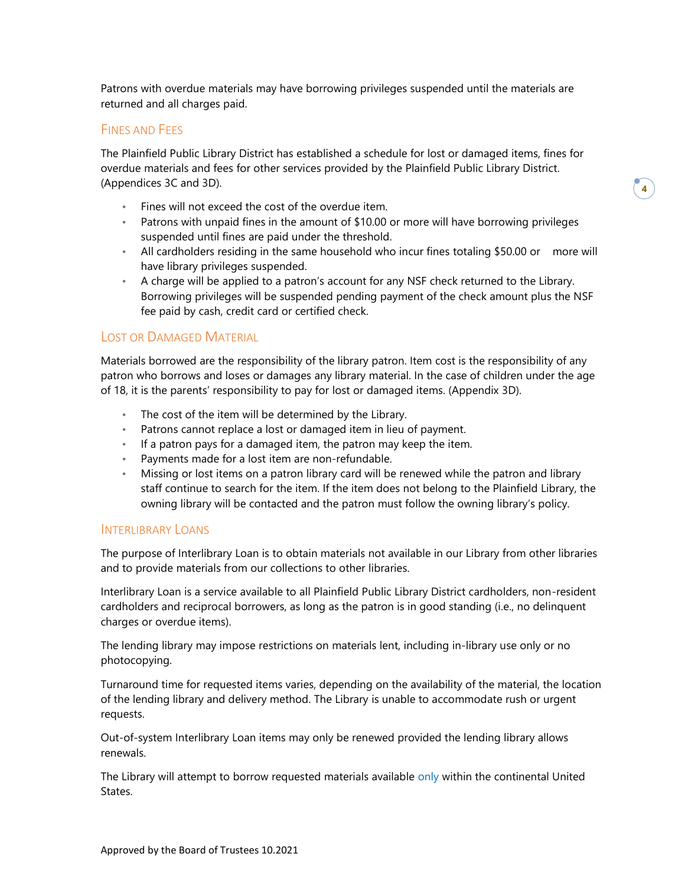Patrons with overdue materials may have borrowing privileges suspended until the materials are returned and all charges paid.

### FINES AND FEES

The Plainfield Public Library District has established a schedule for lost or damaged items, fines for overdue materials and fees for other services provided by the Plainfield Public Library District. (Appendices 3C and 3D).

- Fines will not exceed the cost of the overdue item.
- Patrons with unpaid fines in the amount of \$10.00 or more will have borrowing privileges suspended until fines are paid under the threshold.
- All cardholders residing in the same household who incur fines totaling \$50.00 or more will have library privileges suspended.
- A charge will be applied to a patron's account for any NSF check returned to the Library. Borrowing privileges will be suspended pending payment of the check amount plus the NSF fee paid by cash, credit card or certified check.

### LOST OR DAMAGED MATERIAL

Materials borrowed are the responsibility of the library patron. Item cost is the responsibility of any patron who borrows and loses or damages any library material. In the case of children under the age of 18, it is the parents' responsibility to pay for lost or damaged items. (Appendix 3D).

- The cost of the item will be determined by the Library.
- Patrons cannot replace a lost or damaged item in lieu of payment.
- If a patron pays for a damaged item, the patron may keep the item.
- Payments made for a lost item are non-refundable.
- Missing or lost items on a patron library card will be renewed while the patron and library staff continue to search for the item. If the item does not belong to the Plainfield Library, the owning library will be contacted and the patron must follow the owning library's policy.

### INTERLIBRARY LOANS

The purpose of Interlibrary Loan is to obtain materials not available in our Library from other libraries and to provide materials from our collections to other libraries.

Interlibrary Loan is a service available to all Plainfield Public Library District cardholders, non-resident cardholders and reciprocal borrowers, as long as the patron is in good standing (i.e., no delinquent charges or overdue items).

The lending library may impose restrictions on materials lent, including in-library use only or no photocopying.

Turnaround time for requested items varies, depending on the availability of the material, the location of the lending library and delivery method. The Library is unable to accommodate rush or urgent requests.

Out-of-system Interlibrary Loan items may only be renewed provided the lending library allows renewals.

The Library will attempt to borrow requested materials available only within the continental United States.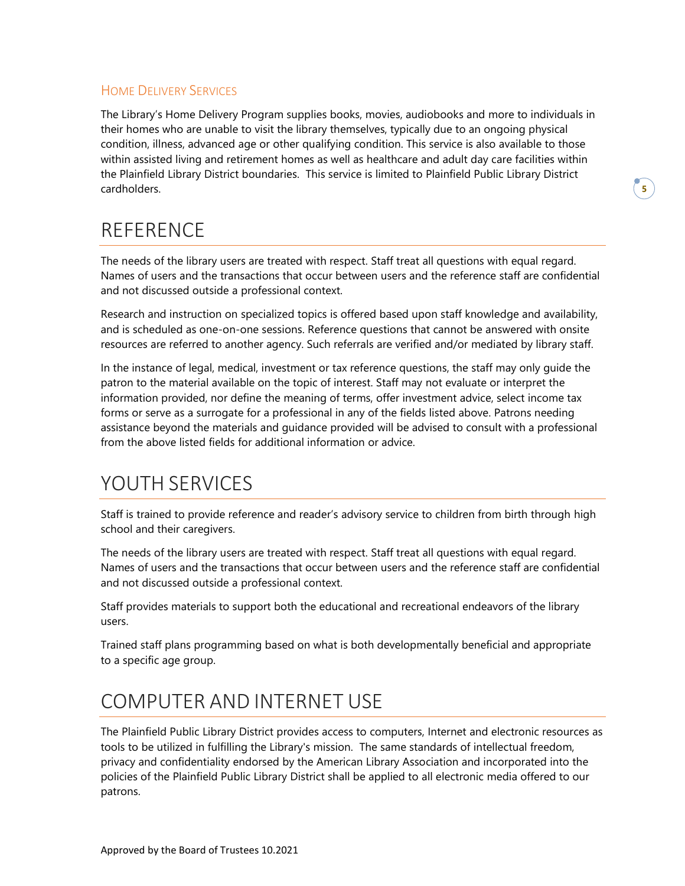## HOME DELIVERY SERVICES

The Library's Home Delivery Program supplies books, movies, audiobooks and more to individuals in their homes who are unable to visit the library themselves, typically due to an ongoing physical condition, illness, advanced age or other qualifying condition. This service is also available to those within assisted living and retirement homes as well as healthcare and adult day care facilities within the Plainfield Library District boundaries. This service is limited to Plainfield Public Library District cardholders.

# <span id="page-4-0"></span>REFERENCE

The needs of the library users are treated with respect. Staff treat all questions with equal regard. Names of users and the transactions that occur between users and the reference staff are confidential and not discussed outside a professional context.

Research and instruction on specialized topics is offered based upon staff knowledge and availability, and is scheduled as one-on-one sessions. Reference questions that cannot be answered with onsite resources are referred to another agency. Such referrals are verified and/or mediated by library staff.

In the instance of legal, medical, investment or tax reference questions, the staff may only guide the patron to the material available on the topic of interest. Staff may not evaluate or interpret the information provided, nor define the meaning of terms, offer investment advice, select income tax forms or serve as a surrogate for a professional in any of the fields listed above. Patrons needing assistance beyond the materials and guidance provided will be advised to consult with a professional from the above listed fields for additional information or advice.

# <span id="page-4-1"></span>YOUTH SERVICES

Staff is trained to provide reference and reader's advisory service to children from birth through high school and their caregivers.

The needs of the library users are treated with respect. Staff treat all questions with equal regard. Names of users and the transactions that occur between users and the reference staff are confidential and not discussed outside a professional context.

Staff provides materials to support both the educational and recreational endeavors of the library users.

Trained staff plans programming based on what is both developmentally beneficial and appropriate to a specific age group.

# <span id="page-4-2"></span>COMPUTER AND INTERNET USE

The Plainfield Public Library District provides access to computers, Internet and electronic resources as tools to be utilized in fulfilling the Library's mission. The same standards of intellectual freedom, privacy and confidentiality endorsed by the American Library Association and incorporated into the policies of the Plainfield Public Library District shall be applied to all electronic media offered to our patrons.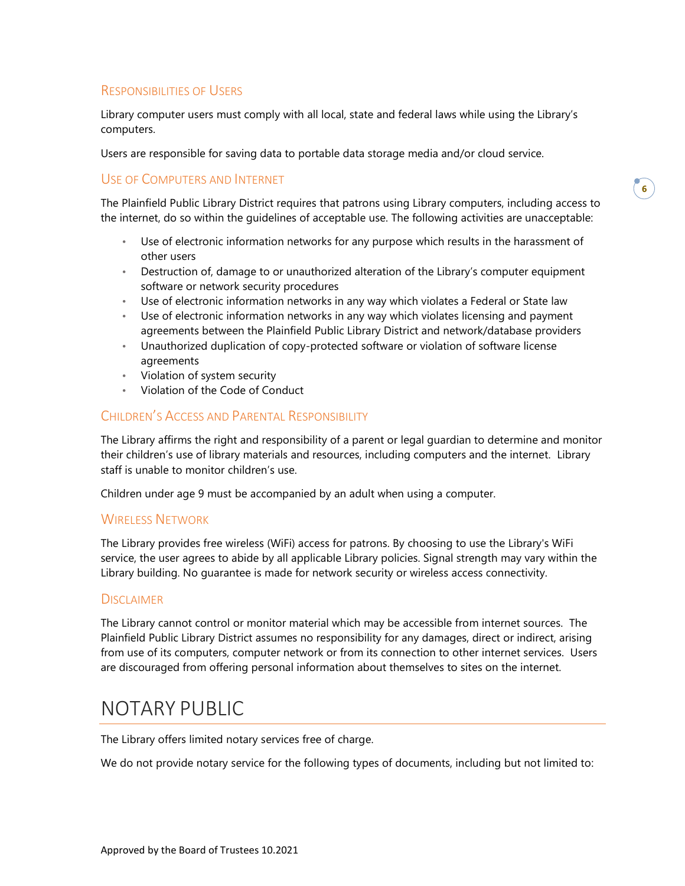## RESPONSIBILITIES OF USERS

Library computer users must comply with all local, state and federal laws while using the Library's computers.

Users are responsible for saving data to portable data storage media and/or cloud service.

## USE OF COMPUTERS AND INTERNET

The Plainfield Public Library District requires that patrons using Library computers, including access to the internet, do so within the guidelines of acceptable use. The following activities are unacceptable:

- Use of electronic information networks for any purpose which results in the harassment of other users
- Destruction of, damage to or unauthorized alteration of the Library's computer equipment software or network security procedures
- Use of electronic information networks in any way which violates a Federal or State law
- Use of electronic information networks in any way which violates licensing and payment agreements between the Plainfield Public Library District and network/database providers
- Unauthorized duplication of copy-protected software or violation of software license agreements
- Violation of system security
- Violation of the Code of Conduct

## CHILDREN'S ACCESS AND PARENTAL RESPONSIBILITY

The Library affirms the right and responsibility of a parent or legal guardian to determine and monitor their children's use of library materials and resources, including computers and the internet. Library staff is unable to monitor children's use.

Children under age 9 must be accompanied by an adult when using a computer.

### WIRELESS NETWORK

The Library provides free wireless (WiFi) access for patrons. By choosing to use the Library's WiFi service, the user agrees to abide by all applicable Library policies. Signal strength may vary within the Library building. No guarantee is made for network security or wireless access connectivity.

### **DISCLAIMER**

The Library cannot control or monitor material which may be accessible from internet sources. The Plainfield Public Library District assumes no responsibility for any damages, direct or indirect, arising from use of its computers, computer network or from its connection to other internet services. Users are discouraged from offering personal information about themselves to sites on the internet.

## <span id="page-5-0"></span>NOTARY PUBLIC

The Library offers limited notary services free of charge.

We do not provide notary service for the following types of documents, including but not limited to: